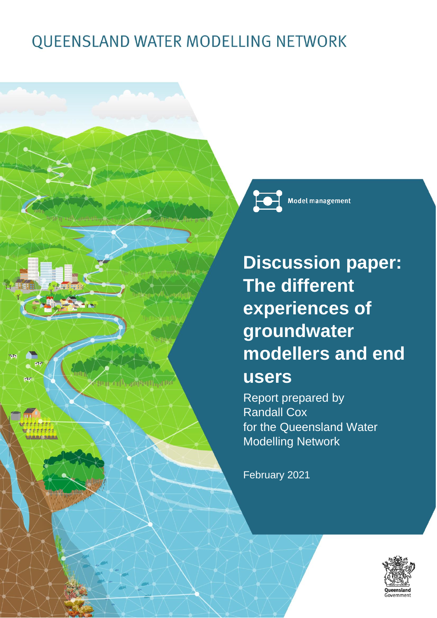# QUEENSLAND WATER MODELLING NETWORK

**Model management** 

**Discussion paper: The different experiences of groundwater modellers and end users**

Report prepared by Randall Cox for the Queensland Water Modelling Network

February 2021



**ATA ABUHAM**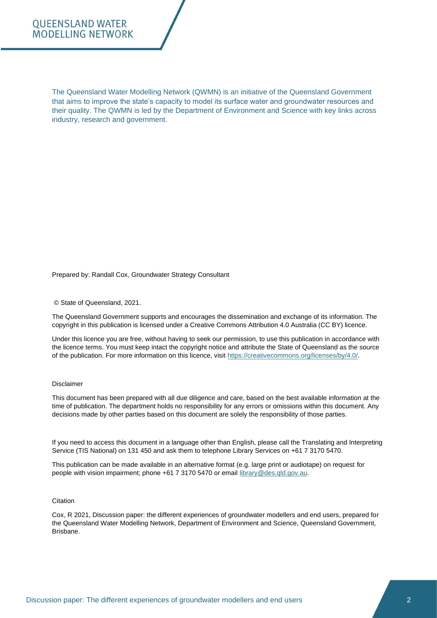#### **OUEENSLAND WATER MODELLING NETWORK**

The Queensland Water Modelling Network (QWMN) is an initiative of the Queensland Government that aims to improve the state's capacity to model its surface water and groundwater resources and their quality. The QWMN is led by the Department of Environment and Science with key links across industry, research and government.

#### Prepared by: Randall Cox, Groundwater Strategy Consultant

© State of Queensland, 2021.

The Queensland Government supports and encourages the dissemination and exchange of its information. The copyright in this publication is licensed under a Creative Commons Attribution 4.0 Australia (CC BY) licence.

Under this licence you are free, without having to seek our permission, to use this publication in accordance with the licence terms. You must keep intact the copyright notice and attribute the State of Queensland as the source of the publication. For more information on this licence, visit [https://creativecommons.org/licenses/by/4.0/.](https://creativecommons.org/licenses/by/4.0/)

#### Disclaimer

This document has been prepared with all due diligence and care, based on the best available information at the time of publication. The department holds no responsibility for any errors or omissions within this document. Any decisions made by other parties based on this document are solely the responsibility of those parties.

If you need to access this document in a language other than English, please call the Translating and Interpreting Service (TIS National) on 131 450 and ask them to telephone Library Services on +61 7 3170 5470.

This publication can be made available in an alternative format (e.g. large print or audiotape) on request for people with vision impairment; phone +61 7 3170 5470 or email [library@des.qld.gov.au.](mailto:library@des.qld.gov.au)

#### **Citation**

Cox, R 2021, Discussion paper: the different experiences of groundwater modellers and end users, prepared for the Queensland Water Modelling Network, Department of Environment and Science, Queensland Government, Brisbane.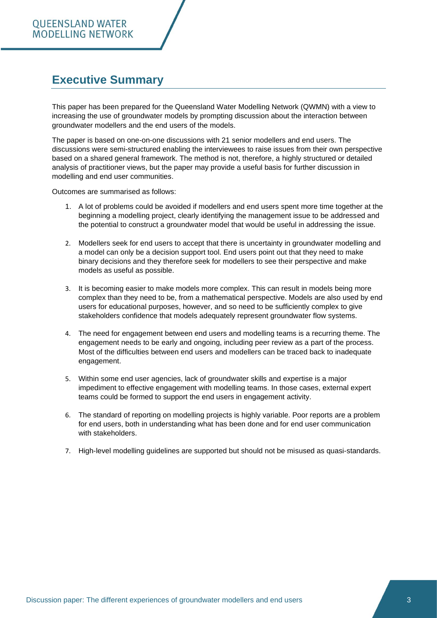## **Executive Summary**

This paper has been prepared for the Queensland Water Modelling Network (QWMN) with a view to increasing the use of groundwater models by prompting discussion about the interaction between groundwater modellers and the end users of the models.

The paper is based on one-on-one discussions with 21 senior modellers and end users. The discussions were semi-structured enabling the interviewees to raise issues from their own perspective based on a shared general framework. The method is not, therefore, a highly structured or detailed analysis of practitioner views, but the paper may provide a useful basis for further discussion in modelling and end user communities.

Outcomes are summarised as follows:

- 1. A lot of problems could be avoided if modellers and end users spent more time together at the beginning a modelling project, clearly identifying the management issue to be addressed and the potential to construct a groundwater model that would be useful in addressing the issue.
- 2. Modellers seek for end users to accept that there is uncertainty in groundwater modelling and a model can only be a decision support tool. End users point out that they need to make binary decisions and they therefore seek for modellers to see their perspective and make models as useful as possible.
- 3. It is becoming easier to make models more complex. This can result in models being more complex than they need to be, from a mathematical perspective. Models are also used by end users for educational purposes, however, and so need to be sufficiently complex to give stakeholders confidence that models adequately represent groundwater flow systems.
- 4. The need for engagement between end users and modelling teams is a recurring theme. The engagement needs to be early and ongoing, including peer review as a part of the process. Most of the difficulties between end users and modellers can be traced back to inadequate engagement.
- 5. Within some end user agencies, lack of groundwater skills and expertise is a major impediment to effective engagement with modelling teams. In those cases, external expert teams could be formed to support the end users in engagement activity.
- 6. The standard of reporting on modelling projects is highly variable. Poor reports are a problem for end users, both in understanding what has been done and for end user communication with stakeholders.
- 7. High-level modelling guidelines are supported but should not be misused as quasi-standards.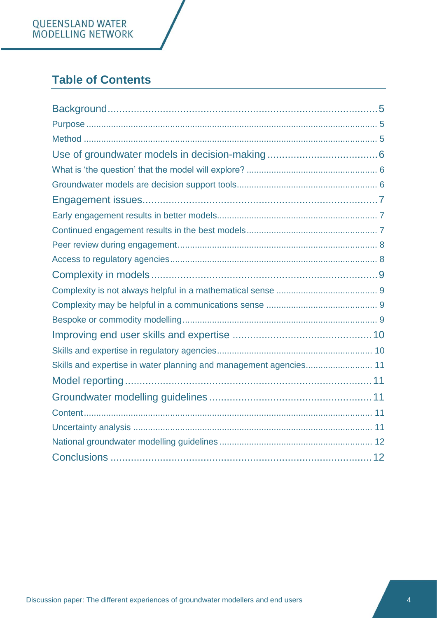# QUEENSLAND WATER<br>MODELLING NETWORK

# **Table of Contents**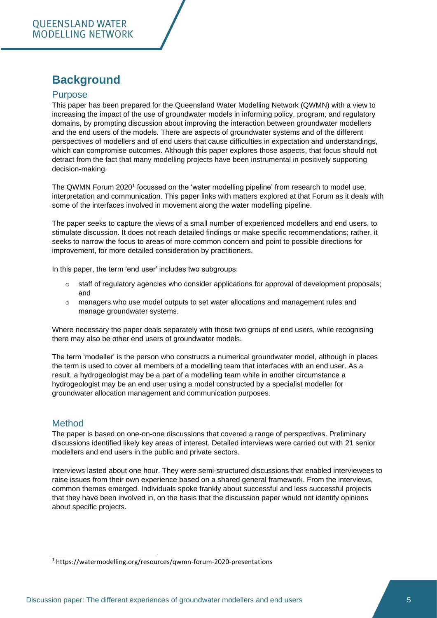## <span id="page-4-0"></span>**Background**

#### <span id="page-4-1"></span>**Purpose**

This paper has been prepared for the Queensland Water Modelling Network (QWMN) with a view to increasing the impact of the use of groundwater models in informing policy, program, and regulatory domains, by prompting discussion about improving the interaction between groundwater modellers and the end users of the models. There are aspects of groundwater systems and of the different perspectives of modellers and of end users that cause difficulties in expectation and understandings, which can compromise outcomes. Although this paper explores those aspects, that focus should not detract from the fact that many modelling projects have been instrumental in positively supporting decision-making.

The QWMN Forum 2020<sup>1</sup> focussed on the 'water modelling pipeline' from research to model use, interpretation and communication. This paper links with matters explored at that Forum as it deals with some of the interfaces involved in movement along the water modelling pipeline.

The paper seeks to capture the views of a small number of experienced modellers and end users, to stimulate discussion. It does not reach detailed findings or make specific recommendations; rather, it seeks to narrow the focus to areas of more common concern and point to possible directions for improvement, for more detailed consideration by practitioners.

In this paper, the term 'end user' includes two subgroups:

- o staff of regulatory agencies who consider applications for approval of development proposals; and
- $\circ$  managers who use model outputs to set water allocations and management rules and manage groundwater systems.

Where necessary the paper deals separately with those two groups of end users, while recognising there may also be other end users of groundwater models.

The term 'modeller' is the person who constructs a numerical groundwater model, although in places the term is used to cover all members of a modelling team that interfaces with an end user. As a result, a hydrogeologist may be a part of a modelling team while in another circumstance a hydrogeologist may be an end user using a model constructed by a specialist modeller for groundwater allocation management and communication purposes.

#### <span id="page-4-2"></span>Method

The paper is based on one-on-one discussions that covered a range of perspectives. Preliminary discussions identified likely key areas of interest. Detailed interviews were carried out with 21 senior modellers and end users in the public and private sectors.

Interviews lasted about one hour. They were semi-structured discussions that enabled interviewees to raise issues from their own experience based on a shared general framework. From the interviews, common themes emerged. Individuals spoke frankly about successful and less successful projects that they have been involved in, on the basis that the discussion paper would not identify opinions about specific projects.

<sup>1</sup> https://watermodelling.org/resources/qwmn-forum-2020-presentations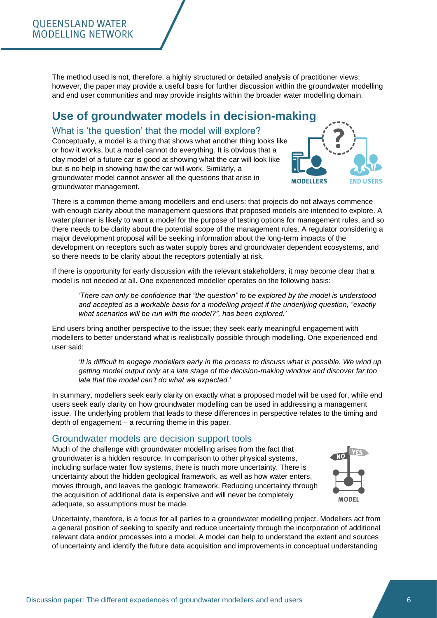The method used is not, therefore, a highly structured or detailed analysis of practitioner views; however, the paper may provide a useful basis for further discussion within the groundwater modelling and end user communities and may provide insights within the broader water modelling domain.

## <span id="page-5-0"></span>**Use of groundwater models in decision-making**

#### <span id="page-5-1"></span>What is 'the question' that the model will explore?

Conceptually, a model is a thing that shows what another thing looks like or how it works, but a model cannot do everything. It is obvious that a clay model of a future car is good at showing what the car will look like but is no help in showing how the car will work. Similarly, a groundwater model cannot answer all the questions that arise in groundwater management.



There is a common theme among modellers and end users: that projects do not always commence with enough clarity about the management questions that proposed models are intended to explore. A water planner is likely to want a model for the purpose of testing options for management rules, and so there needs to be clarity about the potential scope of the management rules. A regulator considering a major development proposal will be seeking information about the long-term impacts of the development on receptors such as water supply bores and groundwater dependent ecosystems, and so there needs to be clarity about the receptors potentially at risk.

If there is opportunity for early discussion with the relevant stakeholders, it may become clear that a model is not needed at all. One experienced modeller operates on the following basis:

*'There can only be confidence that "the question" to be explored by the model is understood and accepted as a workable basis for a modelling project if the underlying question, "exactly what scenarios will be run with the model?", has been explored.'*

End users bring another perspective to the issue; they seek early meaningful engagement with modellers to better understand what is realistically possible through modelling. One experienced end user said:

*'It is difficult to engage modellers early in the process to discuss what is possible. We wind up getting model output only at a late stage of the decision-making window and discover far too late that the model can't do what we expected.'* 

In summary, modellers seek early clarity on exactly what a proposed model will be used for, while end users seek early clarity on how groundwater modelling can be used in addressing a management issue. The underlying problem that leads to these differences in perspective relates to the timing and depth of engagement – a recurring theme in this paper.

#### <span id="page-5-2"></span>Groundwater models are decision support tools

Much of the challenge with groundwater modelling arises from the fact that groundwater is a hidden resource. In comparison to other physical systems, including surface water flow systems, there is much more uncertainty. There is uncertainty about the hidden geological framework, as well as how water enters, moves through, and leaves the geologic framework. Reducing uncertainty through the acquisition of additional data is expensive and will never be completely adequate, so assumptions must be made.



Uncertainty, therefore, is a focus for all parties to a groundwater modelling project. Modellers act from a general position of seeking to specify and reduce uncertainty through the incorporation of additional relevant data and/or processes into a model. A model can help to understand the extent and sources of uncertainty and identify the future data acquisition and improvements in conceptual understanding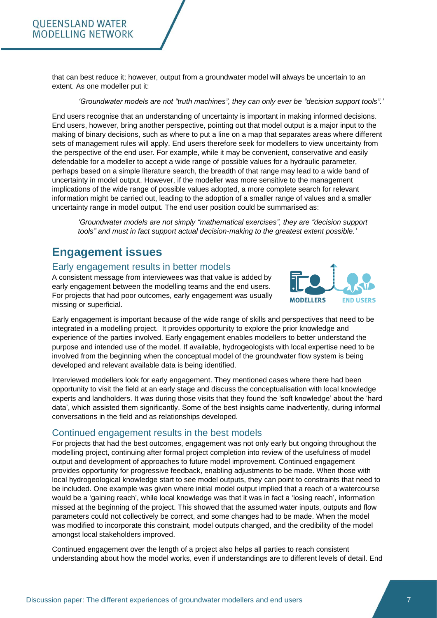that can best reduce it; however, output from a groundwater model will always be uncertain to an extent. As one modeller put it:

*'Groundwater models are not "truth machines", they can only ever be "decision support tools".'* 

End users recognise that an understanding of uncertainty is important in making informed decisions. End users, however, bring another perspective, pointing out that model output is a major input to the making of binary decisions, such as where to put a line on a map that separates areas where different sets of management rules will apply. End users therefore seek for modellers to view uncertainty from the perspective of the end user. For example, while it may be convenient, conservative and easily defendable for a modeller to accept a wide range of possible values for a hydraulic parameter, perhaps based on a simple literature search, the breadth of that range may lead to a wide band of uncertainty in model output. However, if the modeller was more sensitive to the management implications of the wide range of possible values adopted, a more complete search for relevant information might be carried out, leading to the adoption of a smaller range of values and a smaller uncertainty range in model output. The end user position could be summarised as:

*'Groundwater models are not simply "mathematical exercises", they are "decision support tools" and must in fact support actual decision-making to the greatest extent possible.'*

## <span id="page-6-0"></span>**Engagement issues**

#### <span id="page-6-1"></span>Early engagement results in better models

A consistent message from interviewees was that value is added by early engagement between the modelling teams and the end users. For projects that had poor outcomes, early engagement was usually missing or superficial.



Early engagement is important because of the wide range of skills and perspectives that need to be integrated in a modelling project. It provides opportunity to explore the prior knowledge and experience of the parties involved. Early engagement enables modellers to better understand the purpose and intended use of the model. If available, hydrogeologists with local expertise need to be involved from the beginning when the conceptual model of the groundwater flow system is being developed and relevant available data is being identified.

Interviewed modellers look for early engagement. They mentioned cases where there had been opportunity to visit the field at an early stage and discuss the conceptualisation with local knowledge experts and landholders. It was during those visits that they found the 'soft knowledge' about the 'hard data', which assisted them significantly. Some of the best insights came inadvertently, during informal conversations in the field and as relationships developed.

#### <span id="page-6-2"></span>Continued engagement results in the best models

For projects that had the best outcomes, engagement was not only early but ongoing throughout the modelling project, continuing after formal project completion into review of the usefulness of model output and development of approaches to future model improvement. Continued engagement provides opportunity for progressive feedback, enabling adjustments to be made. When those with local hydrogeological knowledge start to see model outputs, they can point to constraints that need to be included. One example was given where initial model output implied that a reach of a watercourse would be a 'gaining reach', while local knowledge was that it was in fact a 'losing reach', information missed at the beginning of the project. This showed that the assumed water inputs, outputs and flow parameters could not collectively be correct, and some changes had to be made. When the model was modified to incorporate this constraint, model outputs changed, and the credibility of the model amongst local stakeholders improved.

Continued engagement over the length of a project also helps all parties to reach consistent understanding about how the model works, even if understandings are to different levels of detail. End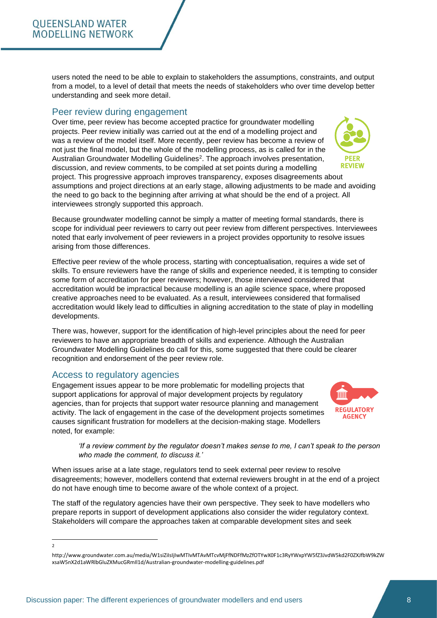users noted the need to be able to explain to stakeholders the assumptions, constraints, and output from a model, to a level of detail that meets the needs of stakeholders who over time develop better understanding and seek more detail.

## <span id="page-7-0"></span>Peer review during engagement

Over time, peer review has become accepted practice for groundwater modelling projects. Peer review initially was carried out at the end of a modelling project and was a review of the model itself. More recently, peer review has become a review of not just the final model, but the whole of the modelling process, as is called for in the Australian Groundwater Modelling Guidelines<sup>2</sup>. The approach involves presentation, discussion, and review comments, to be compiled at set points during a modelling project. This progressive approach improves transparency, exposes disagreements about assumptions and project directions at an early stage, allowing adjustments to be made and avoiding the need to go back to the beginning after arriving at what should be the end of a project. All

interviewees strongly supported this approach.

Because groundwater modelling cannot be simply a matter of meeting formal standards, there is scope for individual peer reviewers to carry out peer review from different perspectives. Interviewees noted that early involvement of peer reviewers in a project provides opportunity to resolve issues arising from those differences.

Effective peer review of the whole process, starting with conceptualisation, requires a wide set of skills. To ensure reviewers have the range of skills and experience needed, it is tempting to consider some form of accreditation for peer reviewers; however, those interviewed considered that accreditation would be impractical because modelling is an agile science space, where proposed creative approaches need to be evaluated. As a result, interviewees considered that formalised accreditation would likely lead to difficulties in aligning accreditation to the state of play in modelling developments.

There was, however, support for the identification of high-level principles about the need for peer reviewers to have an appropriate breadth of skills and experience. Although the Australian Groundwater Modelling Guidelines do call for this, some suggested that there could be clearer recognition and endorsement of the peer review role.

#### <span id="page-7-1"></span>Access to regulatory agencies

Engagement issues appear to be more problematic for modelling projects that support applications for approval of major development projects by regulatory agencies, than for projects that support water resource planning and management activity. The lack of engagement in the case of the development projects sometimes causes significant frustration for modellers at the decision-making stage. Modellers noted, for example:

*'If a review comment by the regulator doesn't makes sense to me, I can't speak to the person who made the comment, to discuss it.'* 

When issues arise at a late stage, regulators tend to seek external peer review to resolve disagreements; however, modellers contend that external reviewers brought in at the end of a project do not have enough time to become aware of the whole context of a project.

The staff of the regulatory agencies have their own perspective. They seek to have modellers who prepare reports in support of development applications also consider the wider regulatory context. Stakeholders will compare the approaches taken at comparable development sites and seek





 $\overline{\phantom{a}}$ 

http://www.groundwater.com.au/media/W1siZiIsIjIwMTIvMTAvMTcvMjFfNDFfMzZfOTYwX0F1c3RyYWxpYW5fZ3JvdW5kd2F0ZXJfbW9kZW xsaW5nX2d1aWRlbGluZXMucGRmIl1d/Australian-groundwater-modelling-guidelines.pdf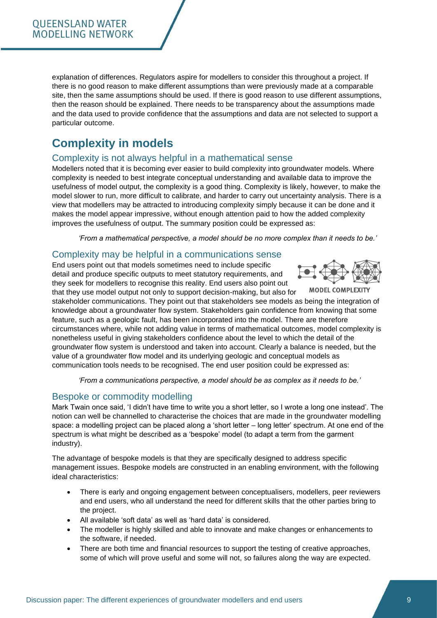explanation of differences. Regulators aspire for modellers to consider this throughout a project. If there is no good reason to make different assumptions than were previously made at a comparable site, then the same assumptions should be used. If there is good reason to use different assumptions, then the reason should be explained. There needs to be transparency about the assumptions made and the data used to provide confidence that the assumptions and data are not selected to support a particular outcome.

## <span id="page-8-0"></span>**Complexity in models**

#### <span id="page-8-1"></span>Complexity is not always helpful in a mathematical sense

Modellers noted that it is becoming ever easier to build complexity into groundwater models. Where complexity is needed to best integrate conceptual understanding and available data to improve the usefulness of model output, the complexity is a good thing. Complexity is likely, however, to make the model slower to run, more difficult to calibrate, and harder to carry out uncertainty analysis. There is a view that modellers may be attracted to introducing complexity simply because it can be done and it makes the model appear impressive, without enough attention paid to how the added complexity improves the usefulness of output. The summary position could be expressed as:

*'From a mathematical perspective, a model should be no more complex than it needs to be.'* 

#### <span id="page-8-2"></span>Complexity may be helpful in a communications sense

End users point out that models sometimes need to include specific detail and produce specific outputs to meet statutory requirements, and they seek for modellers to recognise this reality. End users also point out that they use model output not only to support decision-making, but also for



stakeholder communications. They point out that stakeholders see models as being the integration of knowledge about a groundwater flow system. Stakeholders gain confidence from knowing that some feature, such as a geologic fault, has been incorporated into the model. There are therefore circumstances where, while not adding value in terms of mathematical outcomes, model complexity is nonetheless useful in giving stakeholders confidence about the level to which the detail of the groundwater flow system is understood and taken into account. Clearly a balance is needed, but the value of a groundwater flow model and its underlying geologic and conceptual models as communication tools needs to be recognised. The end user position could be expressed as:

*'From a communications perspective, a model should be as complex as it needs to be.'* 

#### <span id="page-8-3"></span>Bespoke or commodity modelling

Mark Twain once said, 'I didn't have time to write you a short letter, so I wrote a long one instead'. The notion can well be channelled to characterise the choices that are made in the groundwater modelling space: a modelling project can be placed along a 'short letter – long letter' spectrum. At one end of the spectrum is what might be described as a 'bespoke' model (to adapt a term from the garment industry).

The advantage of bespoke models is that they are specifically designed to address specific management issues. Bespoke models are constructed in an enabling environment, with the following ideal characteristics:

- There is early and ongoing engagement between conceptualisers, modellers, peer reviewers and end users, who all understand the need for different skills that the other parties bring to the project.
- All available 'soft data' as well as 'hard data' is considered.
- The modeller is highly skilled and able to innovate and make changes or enhancements to the software, if needed.
- There are both time and financial resources to support the testing of creative approaches, some of which will prove useful and some will not, so failures along the way are expected.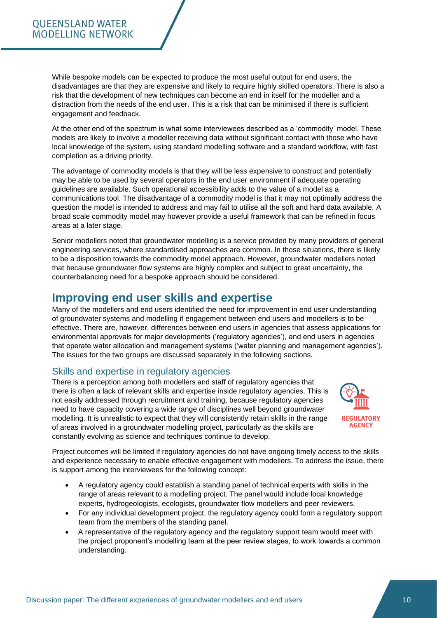While bespoke models can be expected to produce the most useful output for end users, the disadvantages are that they are expensive and likely to require highly skilled operators. There is also a risk that the development of new techniques can become an end in itself for the modeller and a distraction from the needs of the end user. This is a risk that can be minimised if there is sufficient engagement and feedback.

At the other end of the spectrum is what some interviewees described as a 'commodity' model. These models are likely to involve a modeller receiving data without significant contact with those who have local knowledge of the system, using standard modelling software and a standard workflow, with fast completion as a driving priority.

The advantage of commodity models is that they will be less expensive to construct and potentially may be able to be used by several operators in the end user environment if adequate operating guidelines are available. Such operational accessibility adds to the value of a model as a communications tool. The disadvantage of a commodity model is that it may not optimally address the question the model is intended to address and may fail to utilise all the soft and hard data available. A broad scale commodity model may however provide a useful framework that can be refined in focus areas at a later stage.

Senior modellers noted that groundwater modelling is a service provided by many providers of general engineering services, where standardised approaches are common. In those situations, there is likely to be a disposition towards the commodity model approach. However, groundwater modellers noted that because groundwater flow systems are highly complex and subject to great uncertainty, the counterbalancing need for a bespoke approach should be considered.

## <span id="page-9-0"></span>**Improving end user skills and expertise**

Many of the modellers and end users identified the need for improvement in end user understanding of groundwater systems and modelling if engagement between end users and modellers is to be effective. There are, however, differences between end users in agencies that assess applications for environmental approvals for major developments ('regulatory agencies'), and end users in agencies that operate water allocation and management systems ('water planning and management agencies'). The issues for the two groups are discussed separately in the following sections.

#### <span id="page-9-1"></span>Skills and expertise in regulatory agencies

There is a perception among both modellers and staff of regulatory agencies that there is often a lack of relevant skills and expertise inside regulatory agencies. This is not easily addressed through recruitment and training, because regulatory agencies need to have capacity covering a wide range of disciplines well beyond groundwater modelling. It is unrealistic to expect that they will consistently retain skills in the range of areas involved in a groundwater modelling project, particularly as the skills are constantly evolving as science and techniques continue to develop.



Project outcomes will be limited if regulatory agencies do not have ongoing timely access to the skills and experience necessary to enable effective engagement with modellers. To address the issue, there is support among the interviewees for the following concept:

- A regulatory agency could establish a standing panel of technical experts with skills in the range of areas relevant to a modelling project. The panel would include local knowledge experts, hydrogeologists, ecologists, groundwater flow modellers and peer reviewers.
- For any individual development project, the regulatory agency could form a regulatory support team from the members of the standing panel.
- A representative of the regulatory agency and the regulatory support team would meet with the project proponent's modelling team at the peer review stages, to work towards a common understanding.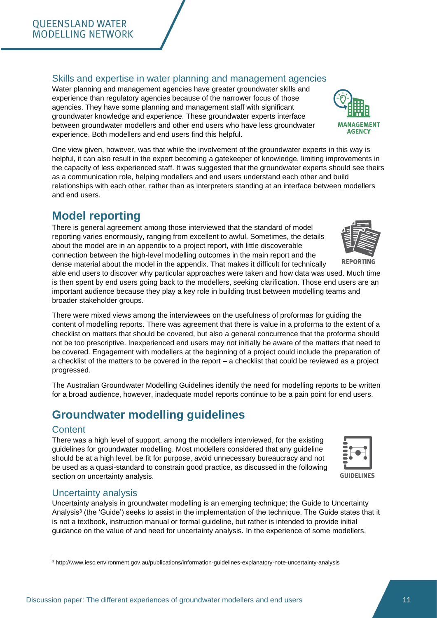#### **OUEENSLAND WATER MODELLING NETWORK**

#### <span id="page-10-0"></span>Skills and expertise in water planning and management agencies

Water planning and management agencies have greater groundwater skills and experience than regulatory agencies because of the narrower focus of those agencies. They have some planning and management staff with significant groundwater knowledge and experience. These groundwater experts interface between groundwater modellers and other end users who have less groundwater experience. Both modellers and end users find this helpful.

One view given, however, was that while the involvement of the groundwater experts in this way is helpful, it can also result in the expert becoming a gatekeeper of knowledge, limiting improvements in the capacity of less experienced staff. It was suggested that the groundwater experts should see theirs as a communication role, helping modellers and end users understand each other and build relationships with each other, rather than as interpreters standing at an interface between modellers and end users.

## <span id="page-10-1"></span>**Model reporting**

There is general agreement among those interviewed that the standard of model reporting varies enormously, ranging from excellent to awful. Sometimes, the details about the model are in an appendix to a project report, with little discoverable connection between the high-level modelling outcomes in the main report and the dense material about the model in the appendix. That makes it difficult for technically

able end users to discover why particular approaches were taken and how data was used. Much time is then spent by end users going back to the modellers, seeking clarification. Those end users are an important audience because they play a key role in building trust between modelling teams and broader stakeholder groups.

There were mixed views among the interviewees on the usefulness of proformas for guiding the content of modelling reports. There was agreement that there is value in a proforma to the extent of a checklist on matters that should be covered, but also a general concurrence that the proforma should not be too prescriptive. Inexperienced end users may not initially be aware of the matters that need to be covered. Engagement with modellers at the beginning of a project could include the preparation of a checklist of the matters to be covered in the report – a checklist that could be reviewed as a project progressed.

The Australian Groundwater Modelling Guidelines identify the need for modelling reports to be written for a broad audience, however, inadequate model reports continue to be a pain point for end users.

## <span id="page-10-2"></span>**Groundwater modelling guidelines**

#### <span id="page-10-3"></span>**Content**

There was a high level of support, among the modellers interviewed, for the existing guidelines for groundwater modelling. Most modellers considered that any guideline should be at a high level, be fit for purpose, avoid unnecessary bureaucracy and not be used as a quasi-standard to constrain good practice, as discussed in the following section on uncertainty analysis.

#### <span id="page-10-4"></span>Uncertainty analysis

Uncertainty analysis in groundwater modelling is an emerging technique; the Guide to Uncertainty Analysis<sup>3</sup> (the 'Guide') seeks to assist in the implementation of the technique. The Guide states that it is not a textbook, instruction manual or formal guideline, but rather is intended to provide initial guidance on the value of and need for uncertainty analysis. In the experience of some modellers,







<sup>3</sup> http://www.iesc.environment.gov.au/publications/information-guidelines-explanatory-note-uncertainty-analysis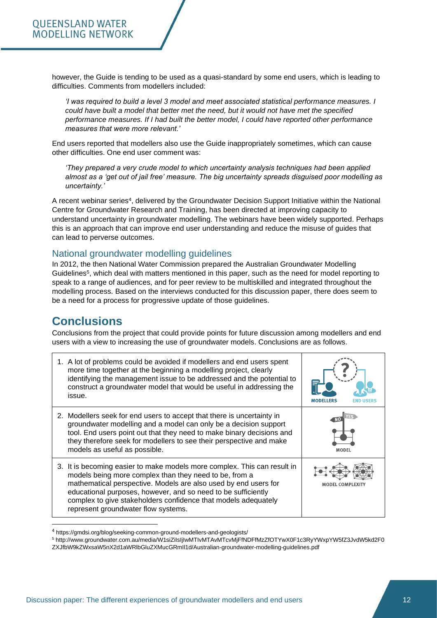however, the Guide is tending to be used as a quasi-standard by some end users, which is leading to difficulties. Comments from modellers included:

*'I was required to build a level 3 model and meet associated statistical performance measures. I could have built a model that better met the need, but it would not have met the specified performance measures. If I had built the better model, I could have reported other performance measures that were more relevant.'* 

End users reported that modellers also use the Guide inappropriately sometimes, which can cause other difficulties. One end user comment was:

*'They prepared a very crude model to which uncertainty analysis techniques had been applied almost as a 'get out of jail free' measure. The big uncertainty spreads disguised poor modelling as uncertainty.'*

A recent webinar series<sup>4</sup>, delivered by the Groundwater Decision Support Initiative within the National Centre for Groundwater Research and Training, has been directed at improving capacity to understand uncertainty in groundwater modelling. The webinars have been widely supported. Perhaps this is an approach that can improve end user understanding and reduce the misuse of guides that can lead to perverse outcomes.

#### <span id="page-11-0"></span>National groundwater modelling guidelines

In 2012, the then National Water Commission prepared the Australian Groundwater Modelling Guidelines<sup>5</sup>, which deal with matters mentioned in this paper, such as the need for model reporting to speak to a range of audiences, and for peer review to be multiskilled and integrated throughout the modelling process. Based on the interviews conducted for this discussion paper, there does seem to be a need for a process for progressive update of those guidelines.

### <span id="page-11-1"></span>**Conclusions**

Conclusions from the project that could provide points for future discussion among modellers and end users with a view to increasing the use of groundwater models. Conclusions are as follows.

| 1. A lot of problems could be avoided if modellers and end users spent<br>more time together at the beginning a modelling project, clearly<br>identifying the management issue to be addressed and the potential to<br>construct a groundwater model that would be useful in addressing the<br>issue.                                                                           |               |  |
|---------------------------------------------------------------------------------------------------------------------------------------------------------------------------------------------------------------------------------------------------------------------------------------------------------------------------------------------------------------------------------|---------------|--|
| 2. Modellers seek for end users to accept that there is uncertainty in<br>groundwater modelling and a model can only be a decision support<br>tool. End users point out that they need to make binary decisions and<br>they therefore seek for modellers to see their perspective and make<br>models as useful as possible.                                                     | MODEL         |  |
| 3. It is becoming easier to make models more complex. This can result in<br>models being more complex than they need to be, from a<br>mathematical perspective. Models are also used by end users for<br>educational purposes, however, and so need to be sufficiently<br>complex to give stakeholders confidence that models adequately<br>represent groundwater flow systems. | MODEL COMPLE) |  |

<sup>&</sup>lt;sup>4</sup> https://gmdsi.org/blog/seeking-common-ground-modellers-and-geologists/

<sup>5</sup> http://www.groundwater.com.au/media/W1siZiIsIjIwMTIvMTAvMTcvMjFfNDFfMzZfOTYwX0F1c3RyYWxpYW5fZ3JvdW5kd2F0 ZXJfbW9kZWxsaW5nX2d1aWRlbGluZXMucGRmIl1d/Australian-groundwater-modelling-guidelines.pdf